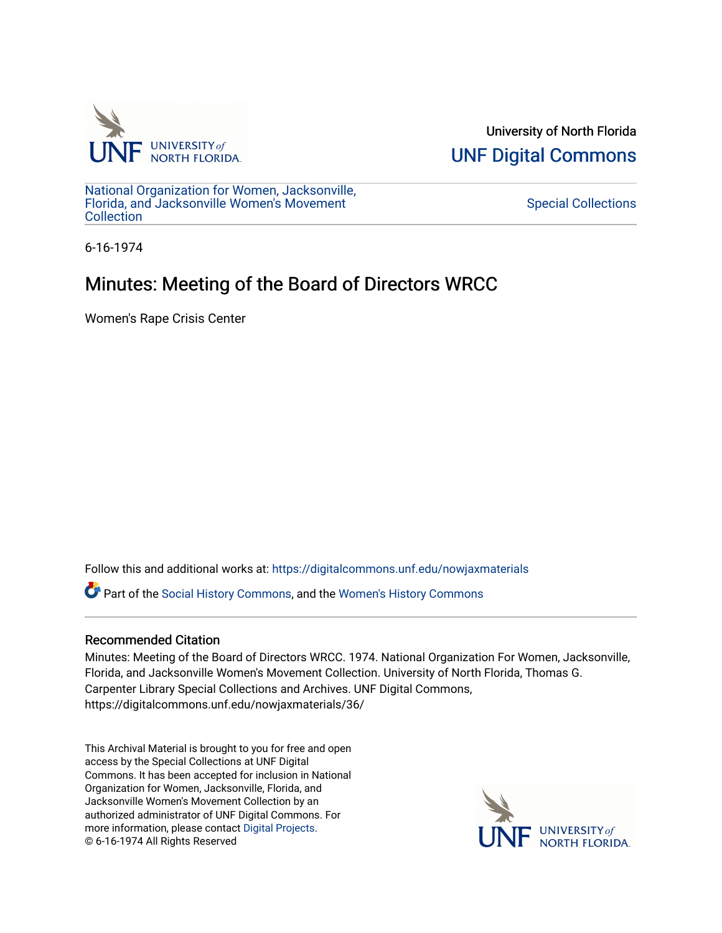

University of North Florida [UNF Digital Commons](https://digitalcommons.unf.edu/) 

[National Organization for Women, Jacksonville,](https://digitalcommons.unf.edu/nowjaxmaterials) [Florida, and Jacksonville Women's Movement](https://digitalcommons.unf.edu/nowjaxmaterials) **Collection** 

[Special Collections](https://digitalcommons.unf.edu/special_collections) 

6-16-1974

## Minutes: Meeting of the Board of Directors WRCC

Women's Rape Crisis Center

Follow this and additional works at: [https://digitalcommons.unf.edu/nowjaxmaterials](https://digitalcommons.unf.edu/nowjaxmaterials?utm_source=digitalcommons.unf.edu%2Fnowjaxmaterials%2F36&utm_medium=PDF&utm_campaign=PDFCoverPages) 

Part of the [Social History Commons](http://network.bepress.com/hgg/discipline/506?utm_source=digitalcommons.unf.edu%2Fnowjaxmaterials%2F36&utm_medium=PDF&utm_campaign=PDFCoverPages), and the [Women's History Commons](http://network.bepress.com/hgg/discipline/507?utm_source=digitalcommons.unf.edu%2Fnowjaxmaterials%2F36&utm_medium=PDF&utm_campaign=PDFCoverPages)

## Recommended Citation

Minutes: Meeting of the Board of Directors WRCC. 1974. National Organization For Women, Jacksonville, Florida, and Jacksonville Women's Movement Collection. University of North Florida, Thomas G. Carpenter Library Special Collections and Archives. UNF Digital Commons, https://digitalcommons.unf.edu/nowjaxmaterials/36/

This Archival Material is brought to you for free and open access by the Special Collections at UNF Digital Commons. It has been accepted for inclusion in National Organization for Women, Jacksonville, Florida, and Jacksonville Women's Movement Collection by an authorized administrator of UNF Digital Commons. For more information, please contact [Digital Projects](mailto:lib-digital@unf.edu). © 6-16-1974 All Rights Reserved